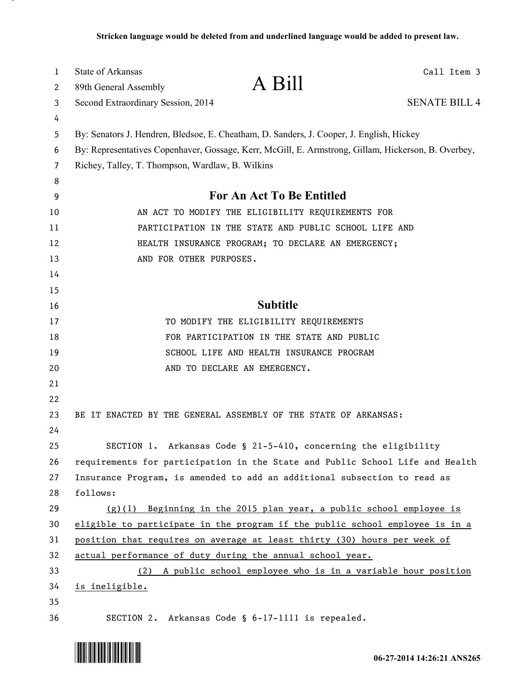| $\mathbf{1}$ | <b>State of Arkansas</b>                         | A Bill                                                                                              | Call Item 3          |
|--------------|--------------------------------------------------|-----------------------------------------------------------------------------------------------------|----------------------|
| 2            | 89th General Assembly                            |                                                                                                     | <b>SENATE BILL 4</b> |
| 3            | Second Extraordinary Session, 2014               |                                                                                                     |                      |
| 4<br>5       |                                                  | By: Senators J. Hendren, Bledsoe, E. Cheatham, D. Sanders, J. Cooper, J. English, Hickey            |                      |
| 6            |                                                  | By: Representatives Copenhaver, Gossage, Kerr, McGill, E. Armstrong, Gillam, Hickerson, B. Overbey, |                      |
| 7            | Richey, Talley, T. Thompson, Wardlaw, B. Wilkins |                                                                                                     |                      |
| 8            |                                                  |                                                                                                     |                      |
| 9            |                                                  | <b>For An Act To Be Entitled</b>                                                                    |                      |
| 10           |                                                  | AN ACT TO MODIFY THE ELIGIBILITY REQUIREMENTS FOR                                                   |                      |
| 11           |                                                  | PARTICIPATION IN THE STATE AND PUBLIC SCHOOL LIFE AND                                               |                      |
| 12           |                                                  | HEALTH INSURANCE PROGRAM; TO DECLARE AN EMERGENCY;                                                  |                      |
| 13           | AND FOR OTHER PURPOSES.                          |                                                                                                     |                      |
| 14           |                                                  |                                                                                                     |                      |
| 15           |                                                  |                                                                                                     |                      |
| 16           |                                                  | <b>Subtitle</b>                                                                                     |                      |
| 17           |                                                  | TO MODIFY THE ELIGIBILITY REQUIREMENTS                                                              |                      |
| 18           |                                                  | FOR PARTICIPATION IN THE STATE AND PUBLIC                                                           |                      |
| 19           |                                                  | SCHOOL LIFE AND HEALTH INSURANCE PROGRAM                                                            |                      |
| 20           |                                                  | AND TO DECLARE AN EMERGENCY.                                                                        |                      |
| 21           |                                                  |                                                                                                     |                      |
| 22           |                                                  |                                                                                                     |                      |
| 23           |                                                  | BE IT ENACTED BY THE GENERAL ASSEMBLY OF THE STATE OF ARKANSAS:                                     |                      |
| 24           |                                                  |                                                                                                     |                      |
| 25           |                                                  | SECTION 1. Arkansas Code § 21-5-410, concerning the eligibility                                     |                      |
| 26           |                                                  | requirements for participation in the State and Public School Life and Health                       |                      |
| 27           |                                                  | Insurance Program, is amended to add an additional subsection to read as                            |                      |
| 28           | follows:                                         |                                                                                                     |                      |
| 29           | (g)(1)                                           | Beginning in the 2015 plan year, a public school employee is                                        |                      |
| 30           |                                                  | eligible to participate in the program if the public school employee is in a                        |                      |
| 31           |                                                  | position that requires on average at least thirty (30) hours per week of                            |                      |
| 32           |                                                  | actual performance of duty during the annual school year.                                           |                      |
| 33           | (2)                                              | A public school employee who is in a variable hour position                                         |                      |
| 34           | is ineligible.                                   |                                                                                                     |                      |
| 35<br>36     |                                                  | SECTION 2. Arkansas Code § 6-17-1111 is repealed.                                                   |                      |
|              |                                                  |                                                                                                     |                      |



л,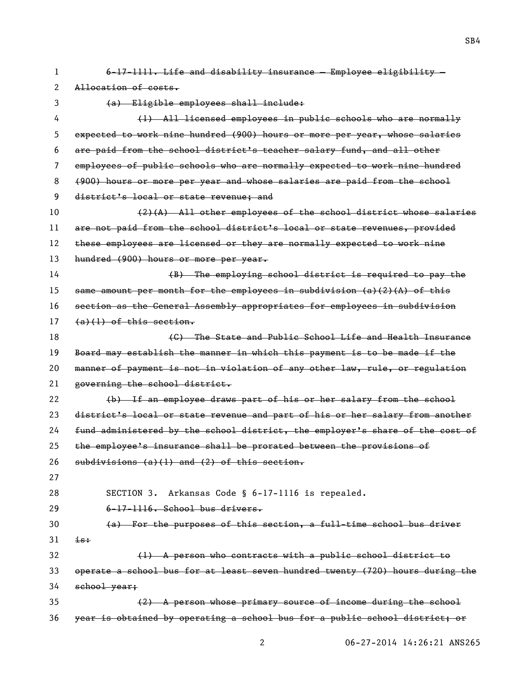| 1  | 6-17-1111. Life and disability insurance - Employee eligibility -             |  |  |
|----|-------------------------------------------------------------------------------|--|--|
| 2  | Allocation of costs.                                                          |  |  |
| 3  | (a) Eligible employees shall include:                                         |  |  |
| 4  | (1) All licensed employees in public schools who are normally                 |  |  |
| 5  | expected to work nine hundred (900) hours or more per year, whose salaries    |  |  |
| 6  | are paid from the school district's teacher salary fund, and all other        |  |  |
| 7  | employees of public schools who are normally expected to work nine hundred    |  |  |
| 8  | (900) hours or more per year and whose salaries are paid from the school      |  |  |
| 9  | district's local or state revenue; and                                        |  |  |
| 10 | $(2)$ (A) All other employees of the school district whose salaries           |  |  |
| 11 | are not paid from the school district's local or state revenues, provided     |  |  |
| 12 | these employees are licensed or they are normally expected to work nine       |  |  |
| 13 | hundred (900) hours or more per year.                                         |  |  |
| 14 | (B) The employing school district is required to pay the                      |  |  |
| 15 | same amount per month for the employees in subdivision $(a)(2)$ $(A)$ of this |  |  |
| 16 | section as the General Assembly appropriates for employees in subdivision     |  |  |
| 17 | $(a)(1)$ of this section.                                                     |  |  |
| 18 | (C) The State and Public School Life and Health Insurance                     |  |  |
| 19 | Board may establish the manner in which this payment is to be made if the     |  |  |
| 20 | manner of payment is not in violation of any other law, rule, or regulation   |  |  |
| 21 | governing the school district.                                                |  |  |
| 22 | (b) If an employee draws part of his or her salary from the school            |  |  |
| 23 | district's local or state revenue and part of his or her salary from another  |  |  |
| 24 | fund administered by the school district, the employer's share of the cost of |  |  |
| 25 | the employee's insurance shall be prorated between the provisions of          |  |  |
| 26 | $subdivisions (a)(1)$ and $(2)$ of this section.                              |  |  |
| 27 |                                                                               |  |  |
| 28 | SECTION 3. Arkansas Code § 6-17-1116 is repealed.                             |  |  |
| 29 | 6-17-1116. School bus drivers.                                                |  |  |
| 30 | (a) For the purposes of this section, a full-time school bus driver           |  |  |
| 31 | <del>is:</del>                                                                |  |  |
| 32 | (1) A person who contracts with a public school district to                   |  |  |
| 33 | operate a school bus for at least seven hundred twenty (720) hours during the |  |  |
| 34 | school year;                                                                  |  |  |
| 35 | (2) A person whose primary source of income during the school                 |  |  |
| 36 | year is obtained by operating a school bus for a public school district; or   |  |  |

SB4

06-27-2014 14:26:21 ANS265